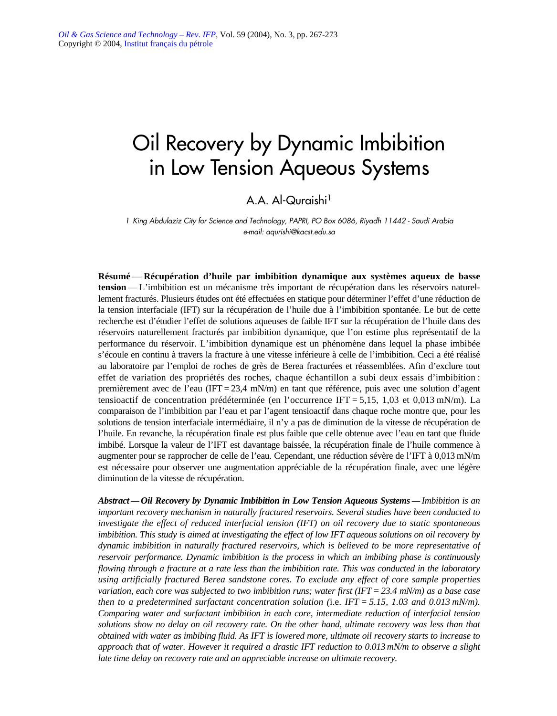# Oil Recovery by Dynamic Imbibition in Low Tension Aqueous Systems

## A.A. Al-Quraishi<sup>1</sup>

*1 King Abdulaziz City for Science and Technology, PAPRI, PO Box 6086, Riyadh 11442 - Saudi Arabia e-mail: aqurishi@kacst.edu.sa*

**Résumé** — **Récupération d'huile par imbibition dynamique aux systèmes aqueux de basse tension** — L'imbibition est un mécanisme très important de récupération dans les réservoirs naturellement fracturés. Plusieurs études ont été effectuées en statique pour déterminer l'effet d'une réduction de la tension interfaciale (IFT) sur la récupération de l'huile due à l'imbibition spontanée. Le but de cette recherche est d'étudier l'effet de solutions aqueuses de faible IFT sur la récupération de l'huile dans des réservoirs naturellement fracturés par imbibition dynamique, que l'on estime plus représentatif de la performance du réservoir. L'imbibition dynamique est un phénomène dans lequel la phase imbibée s'écoule en continu à travers la fracture à une vitesse inférieure à celle de l'imbibition. Ceci a été réalisé au laboratoire par l'emploi de roches de grès de Berea fracturées et réassemblées. Afin d'exclure tout effet de variation des propriétés des roches, chaque échantillon a subi deux essais d'imbibition : premièrement avec de l'eau (IFT = 23,4 mN/m) en tant que référence, puis avec une solution d'agent tensioactif de concentration prédéterminée (en l'occurrence IFT = 5,15, 1,03 et 0,013 mN/m). La comparaison de l'imbibition par l'eau et par l'agent tensioactif dans chaque roche montre que, pour les solutions de tension interfaciale intermédiaire, il n'y a pas de diminution de la vitesse de récupération de l'huile. En revanche, la récupération finale est plus faible que celle obtenue avec l'eau en tant que fluide imbibé. Lorsque la valeur de l'IFT est davantage baissée, la récupération finale de l'huile commence à augmenter pour se rapprocher de celle de l'eau. Cependant, une réduction sévère de l'IFT à 0,013 mN/m est nécessaire pour observer une augmentation appréciable de la récupération finale, avec une légère diminution de la vitesse de récupération.

*Abstract — Oil Recovery by Dynamic Imbibition in Low Tension Aqueous Systems — Imbibition is an important recovery mechanism in naturally fractured reservoirs. Several studies have been conducted to investigate the effect of reduced interfacial tension (IFT) on oil recovery due to static spontaneous imbibition. This study is aimed at investigating the effect of low IFT aqueous solutions on oil recovery by dynamic imbibition in naturally fractured reservoirs, which is believed to be more representative of reservoir performance. Dynamic imbibition is the process in which an imbibing phase is continuously flowing through a fracture at a rate less than the imbibition rate. This was conducted in the laboratory using artificially fractured Berea sandstone cores. To exclude any effect of core sample properties variation, each core was subjected to two imbibition runs; water first (IFT = 23.4 mN/m) as a base case then to a predetermined surfactant concentration solution (*i.e. *IFT = 5.15, 1.03 and 0.013 mN/m). Comparing water and surfactant imbibition in each core, intermediate reduction of interfacial tension solutions show no delay on oil recovery rate. On the other hand, ultimate recovery was less than that obtained with water as imbibing fluid. As IFT is lowered more, ultimate oil recovery starts to increase to approach that of water. However it required a drastic IFT reduction to 0.013 mN/m to observe a slight late time delay on recovery rate and an appreciable increase on ultimate recovery.*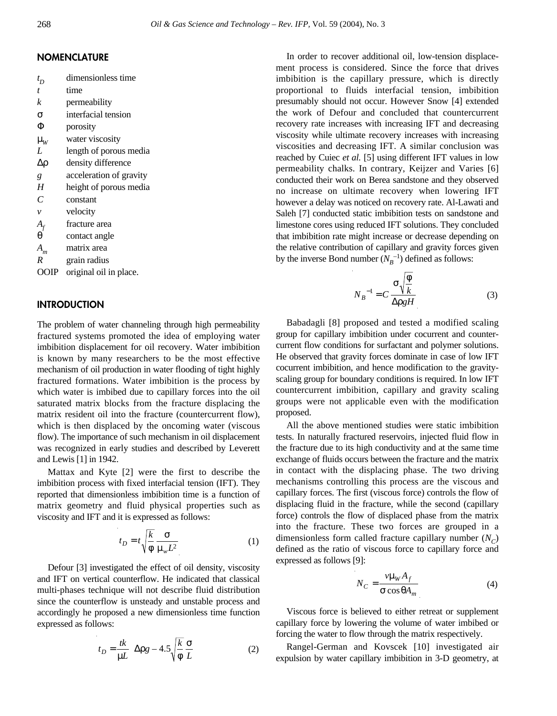### **NOMENCLATURE**

| $t_D$ | dimensionless time |  |  |
|-------|--------------------|--|--|
|       |                    |  |  |

- *t* time
- *k* permeability
- σ interfacial tension
- Φ porosity
- $\mu_{W}$  water viscosity
- *L* length of porous media
- ∆ρ density difference
- *g* acceleration of gravity
- *H* height of porous media
- *C* constant
- *v* velocity
- $A_f$  fracture area<br> $\theta$  contact angle
- contact angle
- $A_m$  matrix area<br>*R* grain radius
- grain radius
- OOIP original oil in place.

#### **INTRODUCTION**

The problem of water channeling through high permeability fractured systems promoted the idea of employing water imbibition displacement for oil recovery. Water imbibition is known by many researchers to be the most effective mechanism of oil production in water flooding of tight highly fractured formations. Water imbibition is the process by which water is imbibed due to capillary forces into the oil saturated matrix blocks from the fracture displacing the matrix resident oil into the fracture (countercurrent flow), which is then displaced by the oncoming water (viscous flow). The importance of such mechanism in oil displacement was recognized in early studies and described by Leverett and Lewis [1] in 1942.

Mattax and Kyte [2] were the first to describe the imbibition process with fixed interfacial tension (IFT). They reported that dimensionless imbibition time is a function of matrix geometry and fluid physical properties such as viscosity and IFT and it is expressed as follows:

$$
t_D = t \sqrt{\frac{k}{\phi}} \frac{\sigma}{\mu_w L^2}
$$
 (1)

Defour [3] investigated the effect of oil density, viscosity and IFT on vertical counterflow. He indicated that classical multi-phases technique will not describe fluid distribution since the counterflow is unsteady and unstable process and accordingly he proposed a new dimensionless time function expressed as follows:

$$
t_D = \frac{tk}{\mu L} \left( \Delta \rho g - 4.5 \sqrt{\frac{k}{\phi}} \frac{\sigma}{L} \right)
$$
 (2)

In order to recover additional oil, low-tension displacement process is considered. Since the force that drives imbibition is the capillary pressure, which is directly proportional to fluids interfacial tension, imbibition presumably should not occur. However Snow [4] extended the work of Defour and concluded that countercurrent recovery rate increases with increasing IFT and decreasing viscosity while ultimate recovery increases with increasing viscosities and decreasing IFT. A similar conclusion was reached by Cuiec *et al.* [5] using different IFT values in low permeability chalks. In contrary, Keijzer and Varies [6] conducted their work on Berea sandstone and they observed no increase on ultimate recovery when lowering IFT however a delay was noticed on recovery rate. Al-Lawati and Saleh [7] conducted static imbibition tests on sandstone and limestone cores using reduced IFT solutions. They concluded that imbibition rate might increase or decrease depending on the relative contribution of capillary and gravity forces given by the inverse Bond number  $(N_B^{-1})$  defined as follows:

$$
N_B^{-1} = C \frac{\sigma \sqrt{\frac{\Phi}{k}}}{\Delta \rho g H}
$$
 (3)

Babadagli [8] proposed and tested a modified scaling group for capillary imbibition under cocurrent and countercurrent flow conditions for surfactant and polymer solutions. He observed that gravity forces dominate in case of low IFT cocurrent imbibition, and hence modification to the gravityscaling group for boundary conditions is required. In low IFT countercurrent imbibition, capillary and gravity scaling groups were not applicable even with the modification proposed.

All the above mentioned studies were static imbibition tests. In naturally fractured reservoirs, injected fluid flow in the fracture due to its high conductivity and at the same time exchange of fluids occurs between the fracture and the matrix in contact with the displacing phase. The two driving mechanisms controlling this process are the viscous and capillary forces. The first (viscous force) controls the flow of displacing fluid in the fracture, while the second (capillary force) controls the flow of displaced phase from the matrix into the fracture. These two forces are grouped in a dimensionless form called fracture capillary number  $(N_C)$ defined as the ratio of viscous force to capillary force and expressed as follows [9]:

$$
N_C = \frac{v\mu_W A_f}{\sigma \cos \theta A_m} \tag{4}
$$

Viscous force is believed to either retreat or supplement capillary force by lowering the volume of water imbibed or forcing the water to flow through the matrix respectively.

Rangel-German and Kovscek [10] investigated air expulsion by water capillary imbibition in 3-D geometry, at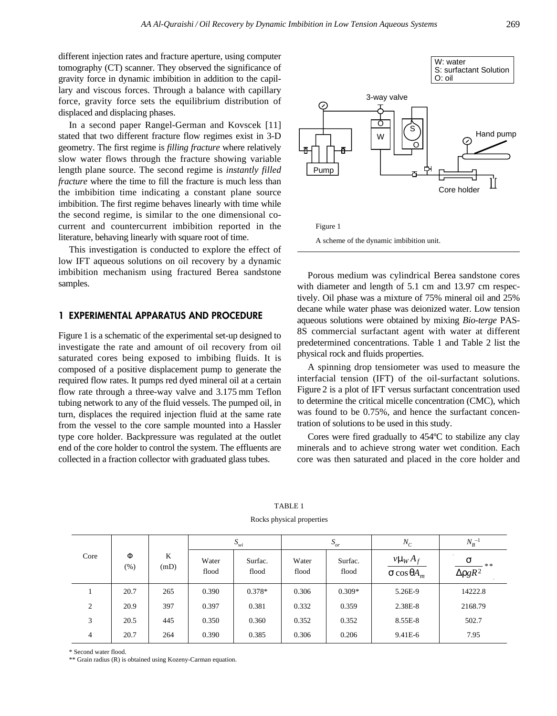different injection rates and fracture aperture, using computer tomography (CT) scanner. They observed the significance of gravity force in dynamic imbibition in addition to the capillary and viscous forces. Through a balance with capillary force, gravity force sets the equilibrium distribution of displaced and displacing phases.

In a second paper Rangel-German and Kovscek [11] stated that two different fracture flow regimes exist in 3-D geometry. The first regime is *filling fracture* where relatively slow water flows through the fracture showing variable length plane source. The second regime is *instantly filled fracture* where the time to fill the fracture is much less than the imbibition time indicating a constant plane source imbibition. The first regime behaves linearly with time while the second regime, is similar to the one dimensional cocurrent and countercurrent imbibition reported in the literature, behaving linearly with square root of time.

This investigation is conducted to explore the effect of low IFT aqueous solutions on oil recovery by a dynamic imbibition mechanism using fractured Berea sandstone samples.

#### **1 EXPERIMENTAL APPARATUS AND PROCEDURE**

Figure 1 is a schematic of the experimental set-up designed to investigate the rate and amount of oil recovery from oil saturated cores being exposed to imbibing fluids. It is composed of a positive displacement pump to generate the required flow rates. It pumps red dyed mineral oil at a certain flow rate through a three-way valve and 3.175 mm Teflon tubing network to any of the fluid vessels. The pumped oil, in turn, displaces the required injection fluid at the same rate from the vessel to the core sample mounted into a Hassler type core holder. Backpressure was regulated at the outlet end of the core holder to control the system. The effluents are collected in a fraction collector with graduated glass tubes.



Porous medium was cylindrical Berea sandstone cores with diameter and length of 5.1 cm and 13.97 cm respectively. Oil phase was a mixture of 75% mineral oil and 25% decane while water phase was deionized water. Low tension aqueous solutions were obtained by mixing *Bio-terge* PAS-8S commercial surfactant agent with water at different predetermined concentrations. Table 1 and Table 2 list the physical rock and fluids properties.

A spinning drop tensiometer was used to measure the interfacial tension (IFT) of the oil-surfactant solutions. Figure 2 is a plot of IFT versus surfactant concentration used to determine the critical micelle concentration (CMC), which was found to be 0.75%, and hence the surfactant concentration of solutions to be used in this study.

Cores were fired gradually to 454ºC to stabilize any clay minerals and to achieve strong water wet condition. Each core was then saturated and placed in the core holder and

|      |           |           | $S_{wi}$       |                  | $S_{or}$       |                  | $N_{\cal C}$                              | $N_B^{-1}$                             |
|------|-----------|-----------|----------------|------------------|----------------|------------------|-------------------------------------------|----------------------------------------|
| Core | Φ<br>(% ) | K<br>(mD) | Water<br>flood | Surfac.<br>flood | Water<br>flood | Surfac.<br>flood | $v\mu_W A_f$<br>$\sigma$ cos $\theta A_m$ | $\sigma$<br>$*$<br>$\Delta \rho g R^2$ |
|      | 20.7      | 265       | 0.390          | $0.378*$         | 0.306          | $0.309*$         | 5.26E-9                                   | 14222.8                                |
| 2    | 20.9      | 397       | 0.397          | 0.381            | 0.332          | 0.359            | 2.38E-8                                   | 2168.79                                |
| 3    | 20.5      | 445       | 0.350          | 0.360            | 0.352          | 0.352            | 8.55E-8                                   | 502.7                                  |
| 4    | 20.7      | 264       | 0.390          | 0.385            | 0.306          | 0.206            | 9.41E-6                                   | 7.95                                   |

TABLE 1 Rocks physical properties

\* Second water flood.

\*\* Grain radius (R) is obtained using Kozeny-Carman equation.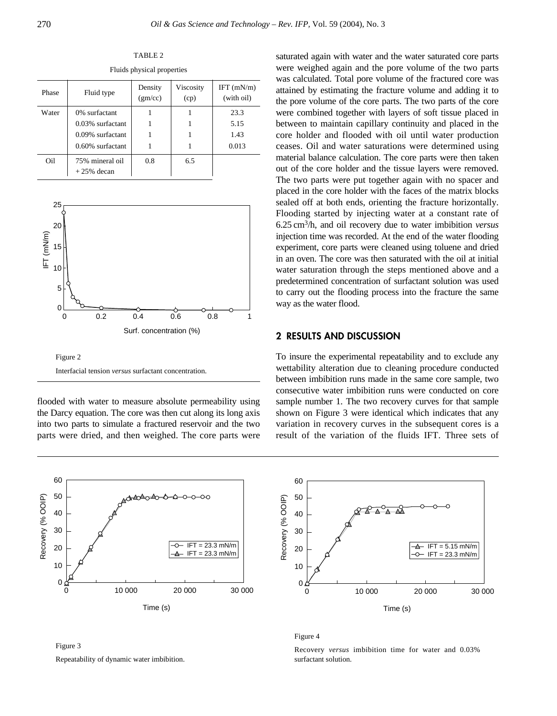| Phase | Fluid type                      | Density<br>(gm/cc) | Viscosity<br>(cp) | IFT $(mN/m)$<br>(with oil) |
|-------|---------------------------------|--------------------|-------------------|----------------------------|
| Water | $0\%$ surfactant                |                    |                   | 23.3                       |
|       | $0.03\%$ surfactant             |                    |                   | 5.15                       |
|       | $0.09\%$ surfactant             |                    |                   | 1.43                       |
|       | 0.60% surfactant                |                    |                   | 0.013                      |
| Oil   | 75% mineral oil<br>$+25%$ decan | 0.8                | 6.5               |                            |

TABLE 2 Fluids physical properties



Figure 2 Interfacial tension *versus* surfactant concentration.

flooded with water to measure absolute permeability using the Darcy equation. The core was then cut along its long axis into two parts to simulate a fractured reservoir and the two parts were dried, and then weighed. The core parts were saturated again with water and the water saturated core parts were weighed again and the pore volume of the two parts was calculated. Total pore volume of the fractured core was attained by estimating the fracture volume and adding it to the pore volume of the core parts. The two parts of the core were combined together with layers of soft tissue placed in between to maintain capillary continuity and placed in the core holder and flooded with oil until water production ceases. Oil and water saturations were determined using material balance calculation. The core parts were then taken out of the core holder and the tissue layers were removed. The two parts were put together again with no spacer and placed in the core holder with the faces of the matrix blocks sealed off at both ends, orienting the fracture horizontally. Flooding started by injecting water at a constant rate of 6.25 cm3/h, and oil recovery due to water imbibition *versus* injection time was recorded. At the end of the water flooding experiment, core parts were cleaned using toluene and dried in an oven. The core was then saturated with the oil at initial water saturation through the steps mentioned above and a predetermined concentration of surfactant solution was used to carry out the flooding process into the fracture the same way as the water flood.

#### **2 RESULTS AND DISCUSSION**

To insure the experimental repeatability and to exclude any wettability alteration due to cleaning procedure conducted between imbibition runs made in the same core sample, two consecutive water imbibition runs were conducted on core sample number 1. The two recovery curves for that sample shown on Figure 3 were identical which indicates that any variation in recovery curves in the subsequent cores is a result of the variation of the fluids IFT. Three sets of



Figure 3 Repeatability of dynamic water imbibition.



#### Figure 4

Recovery *versus* imbibition time for water and 0.03% surfactant solution.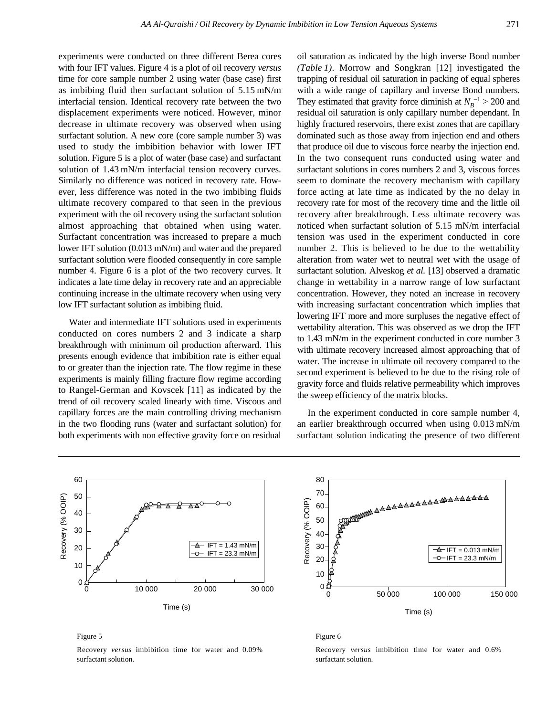experiments were conducted on three different Berea cores with four IFT values. Figure 4 is a plot of oil recovery *versus* time for core sample number 2 using water (base case) first as imbibing fluid then surfactant solution of 5.15 mN/m interfacial tension. Identical recovery rate between the two displacement experiments were noticed. However, minor decrease in ultimate recovery was observed when using surfactant solution. A new core (core sample number 3) was used to study the imbibition behavior with lower IFT solution. Figure 5 is a plot of water (base case) and surfactant solution of 1.43 mN/m interfacial tension recovery curves. Similarly no difference was noticed in recovery rate. However, less difference was noted in the two imbibing fluids ultimate recovery compared to that seen in the previous experiment with the oil recovery using the surfactant solution almost approaching that obtained when using water. Surfactant concentration was increased to prepare a much lower IFT solution (0.013 mN/m) and water and the prepared surfactant solution were flooded consequently in core sample number 4. Figure 6 is a plot of the two recovery curves. It indicates a late time delay in recovery rate and an appreciable continuing increase in the ultimate recovery when using very low IFT surfactant solution as imbibing fluid.

Water and intermediate IFT solutions used in experiments conducted on cores numbers 2 and 3 indicate a sharp breakthrough with minimum oil production afterward. This presents enough evidence that imbibition rate is either equal to or greater than the injection rate. The flow regime in these experiments is mainly filling fracture flow regime according to Rangel-German and Kovscek [11] as indicated by the trend of oil recovery scaled linearly with time. Viscous and capillary forces are the main controlling driving mechanism in the two flooding runs (water and surfactant solution) for both experiments with non effective gravity force on residual oil saturation as indicated by the high inverse Bond number *(Table 1)*. Morrow and Songkran [12] investigated the trapping of residual oil saturation in packing of equal spheres with a wide range of capillary and inverse Bond numbers. They estimated that gravity force diminish at  $N_B^{-1} > 200$  and residual oil saturation is only capillary number dependant. In highly fractured reservoirs, there exist zones that are capillary dominated such as those away from injection end and others that produce oil due to viscous force nearby the injection end. In the two consequent runs conducted using water and surfactant solutions in cores numbers 2 and 3, viscous forces seem to dominate the recovery mechanism with capillary force acting at late time as indicated by the no delay in recovery rate for most of the recovery time and the little oil recovery after breakthrough. Less ultimate recovery was noticed when surfactant solution of 5.15 mN/m interfacial tension was used in the experiment conducted in core number 2. This is believed to be due to the wettability alteration from water wet to neutral wet with the usage of surfactant solution. Alveskog *et al.* [13] observed a dramatic change in wettability in a narrow range of low surfactant concentration. However, they noted an increase in recovery with increasing surfactant concentration which implies that lowering IFT more and more surpluses the negative effect of wettability alteration. This was observed as we drop the IFT to 1.43 mN/m in the experiment conducted in core number 3 with ultimate recovery increased almost approaching that of water. The increase in ultimate oil recovery compared to the second experiment is believed to be due to the rising role of gravity force and fluids relative permeability which improves the sweep efficiency of the matrix blocks.

In the experiment conducted in core sample number 4, an earlier breakthrough occurred when using 0.013 mN/m surfactant solution indicating the presence of two different



Figure 5

Recovery *versus* imbibition time for water and 0.09% surfactant solution.



Figure 6

Recovery *versus* imbibition time for water and 0.6% surfactant solution.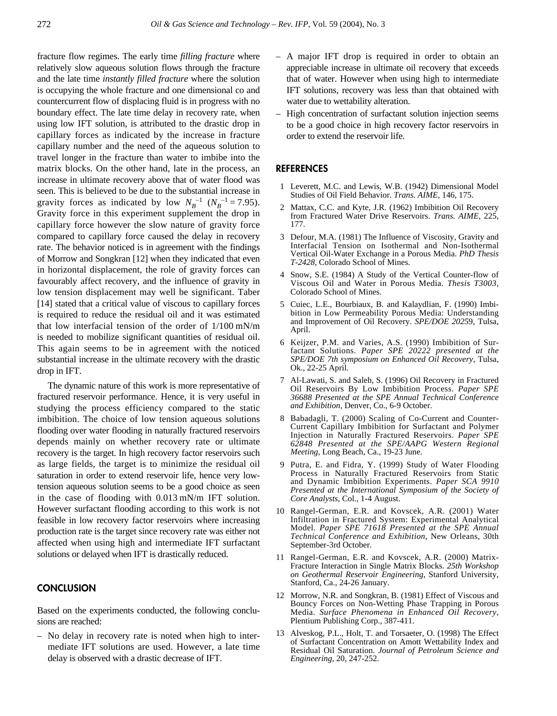fracture flow regimes. The early time *filling fracture* where relatively slow aqueous solution flows through the fracture and the late time *instantly filled fracture* where the solution is occupying the whole fracture and one dimensional co and countercurrent flow of displacing fluid is in progress with no boundary effect. The late time delay in recovery rate, when using low IFT solution, is attributed to the drastic drop in capillary forces as indicated by the increase in fracture capillary number and the need of the aqueous solution to travel longer in the fracture than water to imbibe into the matrix blocks. On the other hand, late in the process, an increase in ultimate recovery above that of water flood was seen. This is believed to be due to the substantial increase in gravity forces as indicated by low  $N_B^{-1}$  ( $N_B^{-1} = 7.95$ ). Gravity force in this experiment supplement the drop in capillary force however the slow nature of gravity force compared to capillary force caused the delay in recovery rate. The behavior noticed is in agreement with the findings of Morrow and Songkran [12] when they indicated that even in horizontal displacement, the role of gravity forces can favourably affect recovery, and the influence of gravity in low tension displacement may well be significant. Taber [14] stated that a critical value of viscous to capillary forces is required to reduce the residual oil and it was estimated that low interfacial tension of the order of 1/100 mN/m is needed to mobilize significant quantities of residual oil. This again seems to be in agreement with the noticed substantial increase in the ultimate recovery with the drastic drop in IFT.

The dynamic nature of this work is more representative of fractured reservoir performance. Hence, it is very useful in studying the process efficiency compared to the static imbibition. The choice of low tension aqueous solutions flooding over water flooding in naturally fractured reservoirs depends mainly on whether recovery rate or ultimate recovery is the target. In high recovery factor reservoirs such as large fields, the target is to minimize the residual oil saturation in order to extend reservoir life, hence very lowtension aqueous solution seems to be a good choice as seen in the case of flooding with 0.013 mN/m IFT solution. However surfactant flooding according to this work is not feasible in low recovery factor reservoirs where increasing production rate is the target since recovery rate was either not affected when using high and intermediate IFT surfactant solutions or delayed when IFT is drastically reduced.

#### **CONCLUSION**

Based on the experiments conducted, the following conclusions are reached:

– No delay in recovery rate is noted when high to intermediate IFT solutions are used. However, a late time delay is observed with a drastic decrease of IFT.

- A major IFT drop is required in order to obtain an appreciable increase in ultimate oil recovery that exceeds that of water. However when using high to intermediate IFT solutions, recovery was less than that obtained with water due to wettability alteration.
- High concentration of surfactant solution injection seems to be a good choice in high recovery factor reservoirs in order to extend the reservoir life.

#### **REFERENCES**

- 01 Leverett, M.C. and Lewis, W.B. (1942) Dimensional Model Studies of Oil Field Behavior. *Trans. AIME*, 146, 175.
- 2 Mattax, C.C. and Kyte, J.R. (1962) Imbibition Oil Recovery from Fractured Water Drive Reservoirs. *Trans. AIME*, 225, 177.
- 03 Defour, M.A. (1981) The Influence of Viscosity, Gravity and Interfacial Tension on Isothermal and Non-Isothermal Vertical Oil-Water Exchange in a Porous Media. *PhD Thesis T-2428*, Colorado School of Mines.
- 04 Snow, S.E. (1984) A Study of the Vertical Counter-flow of Viscous Oil and Water in Porous Media. *Thesis T3003*, Colorado School of Mines.
- 05 Cuiec, L.E., Bourbiaux, B. and Kalaydlian, F. (1990) Imbibition in Low Permeability Porous Media: Understanding and Improvement of Oil Recovery. *SPE/DOE 2025*9, Tulsa, April.
- 06 Keijzer, P.M. and Varies, A.S. (1990) Imbibition of Surfactant Solutions. *Paper SPE 20222 presented at the SPE/DOE 7th symposium on Enhanced Oil Recovery*, Tulsa, Ok., 22-25 April.
- 07 Al-Lawati, S. and Saleh, S. (1996) Oil Recovery in Fractured Oil Reservoirs By Low Imbibition Process. *Paper SPE 36688 Presented at the SPE Annual Technical Conference and Exhibition*, Denver, Co., 6-9 October.
- 08 Babadagli, T. (2000) Scaling of Co-Current and Counter-Current Capillary Imbibition for Surfactant and Polymer Injection in Naturally Fractured Reservoirs. *Paper SPE 62848 Presented at the SPE/AAPG Western Regional Meeting*, Long Beach, Ca., 19-23 June.
- 09 Putra, E. and Fidra, Y. (1999) Study of Water Flooding Process in Naturally Fractured Reservoirs from Static and Dynamic Imbibition Experiments. *Paper SCA 9910 Presented at the International Symposium of the Society of Core Analysts*, Col., 1-4 August.
- 10 Rangel-German, E.R. and Kovscek, A.R. (2001) Water Infiltration in Fractured System: Experimental Analytical Model. *Paper SPE 71618 Presented at the SPE Annual Technical Conference and Exhibition*, New Orleans, 30th September-3rd October.
- 11 Rangel-German, E.R. and Kovscek, A.R. (2000) Matrix-Fracture Interaction in Single Matrix Blocks. *25th Workshop on Geothermal Reservoir Engineering*, Stanford University, Stanford, Ca., 24-26 January.
- 12 Morrow, N.R. and Songkran, B. (1981) Effect of Viscous and Bouncy Forces on Non-Wetting Phase Trapping in Porous Media. *Surface Phenomena in Enhanced Oil Recovery*, Plentium Publishing Corp., 387-411.
- 13 Alveskog, P.L., Holt, T. and Torsaeter, O. (1998) The Effect of Surfactant Concentration on Amott Wettability Index and Residual Oil Saturation. *Journal of Petroleum Science and Engineering*, 20, 247-252.